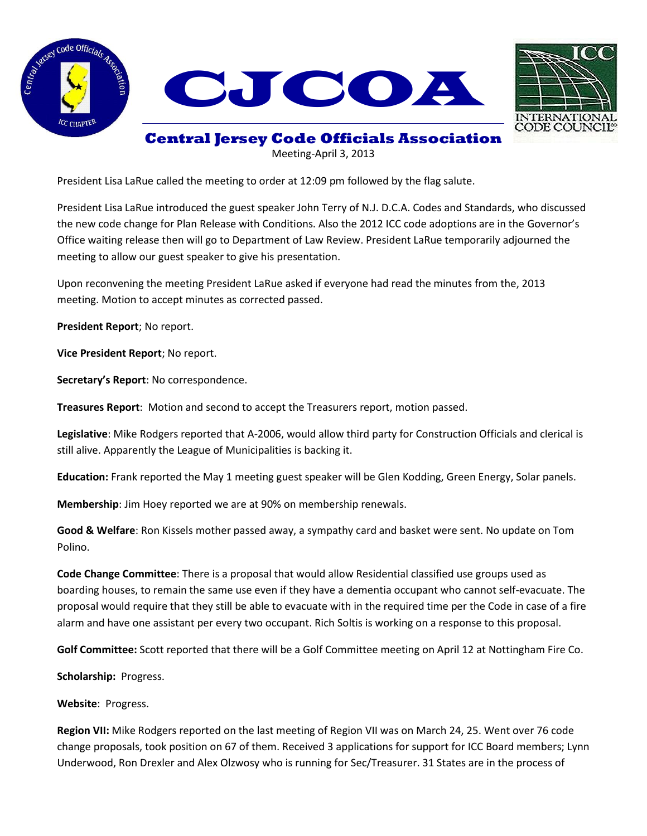



## **Central Jersey Code Officials Association**

Meeting-April 3, 2013

President Lisa LaRue called the meeting to order at 12:09 pm followed by the flag salute.

President Lisa LaRue introduced the guest speaker John Terry of N.J. D.C.A. Codes and Standards, who discussed the new code change for Plan Release with Conditions. Also the 2012 ICC code adoptions are in the Governor's Office waiting release then will go to Department of Law Review. President LaRue temporarily adjourned the meeting to allow our guest speaker to give his presentation.

Upon reconvening the meeting President LaRue asked if everyone had read the minutes from the, 2013 meeting. Motion to accept minutes as corrected passed.

**President Report**; No report.

**Vice President Report**; No report.

**Secretary's Report**: No correspondence.

**Treasures Report**: Motion and second to accept the Treasurers report, motion passed.

**Legislative**: Mike Rodgers reported that A-2006, would allow third party for Construction Officials and clerical is still alive. Apparently the League of Municipalities is backing it.

**Education:** Frank reported the May 1 meeting guest speaker will be Glen Kodding, Green Energy, Solar panels.

**Membership**: Jim Hoey reported we are at 90% on membership renewals.

**Good & Welfare**: Ron Kissels mother passed away, a sympathy card and basket were sent. No update on Tom Polino.

**Code Change Committee**: There is a proposal that would allow Residential classified use groups used as boarding houses, to remain the same use even if they have a dementia occupant who cannot self-evacuate. The proposal would require that they still be able to evacuate with in the required time per the Code in case of a fire alarm and have one assistant per every two occupant. Rich Soltis is working on a response to this proposal.

**Golf Committee:** Scott reported that there will be a Golf Committee meeting on April 12 at Nottingham Fire Co.

**Scholarship:** Progress.

**Website**: Progress.

**Region VII:** Mike Rodgers reported on the last meeting of Region VII was on March 24, 25. Went over 76 code change proposals, took position on 67 of them. Received 3 applications for support for ICC Board members; Lynn Underwood, Ron Drexler and Alex Olzwosy who is running for Sec/Treasurer. 31 States are in the process of